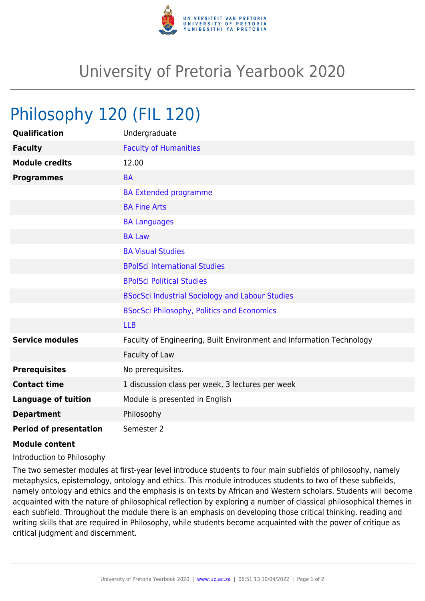

## University of Pretoria Yearbook 2020

## Philosophy 120 (FIL 120)

| Qualification                 | Undergraduate                                                        |
|-------------------------------|----------------------------------------------------------------------|
| <b>Faculty</b>                | <b>Faculty of Humanities</b>                                         |
| <b>Module credits</b>         | 12.00                                                                |
| <b>Programmes</b>             | <b>BA</b>                                                            |
|                               | <b>BA Extended programme</b>                                         |
|                               | <b>BA Fine Arts</b>                                                  |
|                               | <b>BA Languages</b>                                                  |
|                               | <b>BA Law</b>                                                        |
|                               | <b>BA Visual Studies</b>                                             |
|                               | <b>BPolSci International Studies</b>                                 |
|                               | <b>BPolSci Political Studies</b>                                     |
|                               | <b>BSocSci Industrial Sociology and Labour Studies</b>               |
|                               | <b>BSocSci Philosophy, Politics and Economics</b>                    |
|                               | <b>LLB</b>                                                           |
| <b>Service modules</b>        | Faculty of Engineering, Built Environment and Information Technology |
|                               | Faculty of Law                                                       |
| <b>Prerequisites</b>          | No prerequisites.                                                    |
| <b>Contact time</b>           | 1 discussion class per week, 3 lectures per week                     |
| <b>Language of tuition</b>    | Module is presented in English                                       |
| <b>Department</b>             | Philosophy                                                           |
| <b>Period of presentation</b> | Semester 2                                                           |

## **Module content**

Introduction to Philosophy

The two semester modules at first-year level introduce students to four main subfields of philosophy, namely metaphysics, epistemology, ontology and ethics. This module introduces students to two of these subfields, namely ontology and ethics and the emphasis is on texts by African and Western scholars. Students will become acquainted with the nature of philosophical reflection by exploring a number of classical philosophical themes in each subfield. Throughout the module there is an emphasis on developing those critical thinking, reading and writing skills that are required in Philosophy, while students become acquainted with the power of critique as critical judgment and discernment.